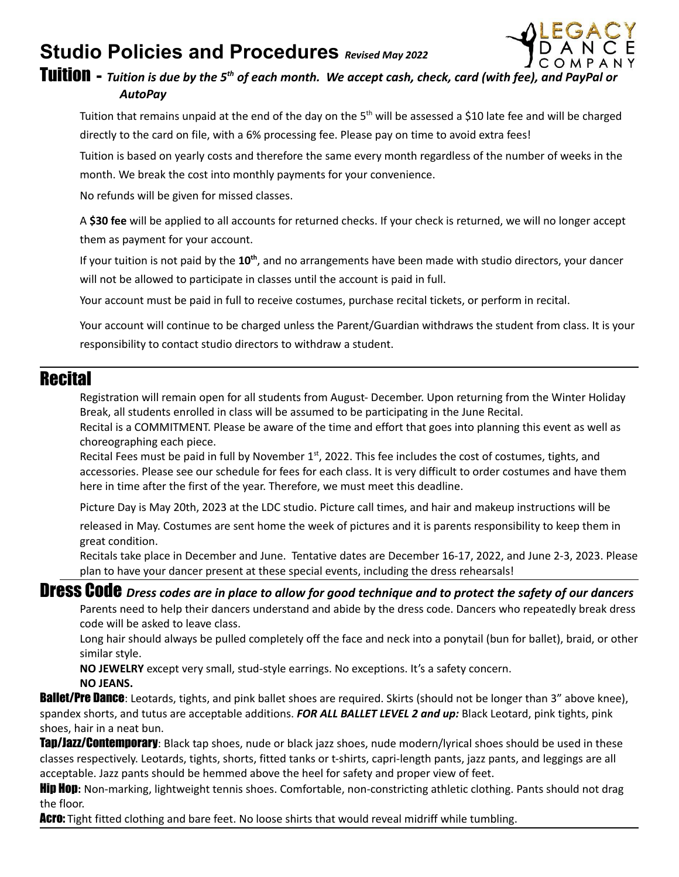# **Studio Policies and Procedures** *Revised May <sup>2022</sup>*



Tuition **-** *Tuition is due by the 5th of each month. We accept cash, check, card (with fee), and PayPal or AutoPay*

Tuition that remains unpaid at the end of the day on the 5<sup>th</sup> will be assessed a \$10 late fee and will be charged directly to the card on file, with a 6% processing fee. Please pay on time to avoid extra fees!

Tuition is based on yearly costs and therefore the same every month regardless of the number of weeks in the month. We break the cost into monthly payments for your convenience.

No refunds will be given for missed classes.

A **\$30 fee** will be applied to all accounts for returned checks. If your check is returned, we will no longer accept them as payment for your account.

If your tuition is not paid by the 10<sup>th</sup>, and no arrangements have been made with studio directors, your dancer will not be allowed to participate in classes until the account is paid in full.

Your account must be paid in full to receive costumes, purchase recital tickets, or perform in recital.

Your account will continue to be charged unless the Parent/Guardian withdraws the student from class. It is your responsibility to contact studio directors to withdraw a student.

#### **Recital**

Registration will remain open for all students from August- December. Upon returning from the Winter Holiday Break, all students enrolled in class will be assumed to be participating in the June Recital.

Recital is a COMMITMENT. Please be aware of the time and effort that goes into planning this event as well as choreographing each piece.

Recital Fees must be paid in full by November 1<sup>st</sup>, 2022. This fee includes the cost of costumes, tights, and accessories. Please see our schedule for fees for each class. It is very difficult to order costumes and have them here in time after the first of the year. Therefore, we must meet this deadline.

Picture Day is May 20th, 2023 at the LDC studio. Picture call times, and hair and makeup instructions will be

released in May. Costumes are sent home the week of pictures and it is parents responsibility to keep them in great condition.

Recitals take place in December and June. Tentative dates are December 16-17, 2022, and June 2-3, 2023. Please plan to have your dancer present at these special events, including the dress rehearsals!

### Dress Code *Dress codes are in place to allow for good technique and to protect the safety of our dancers*

Parents need to help their dancers understand and abide by the dress code. Dancers who repeatedly break dress code will be asked to leave class.

Long hair should always be pulled completely off the face and neck into a ponytail (bun for ballet), braid, or other similar style.

**NO JEWELRY** except very small, stud-style earrings. No exceptions. It's a safety concern.

**NO JEANS.**

**Ballet/Pre Dance**: Leotards, tights, and pink ballet shoes are required. Skirts (should not be longer than 3" above knee), spandex shorts, and tutus are acceptable additions. *FOR ALL BALLET LEVEL 2 and up:* Black Leotard, pink tights, pink shoes, hair in a neat bun.

**Tap/Jazz/Contemporary**: Black tap shoes, nude or black jazz shoes, nude modern/lyrical shoes should be used in these classes respectively. Leotards, tights, shorts, fitted tanks or t-shirts, capri-length pants, jazz pants, and leggings are all acceptable. Jazz pants should be hemmed above the heel for safety and proper view of feet.

Hip Hop**:** Non-marking, lightweight tennis shoes. Comfortable, non-constricting athletic clothing. Pants should not drag the floor.

**Acro:** Tight fitted clothing and bare feet. No loose shirts that would reveal midriff while tumbling.